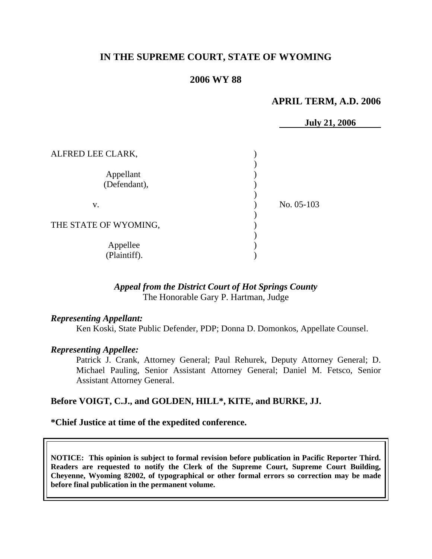# **IN THE SUPREME COURT, STATE OF WYOMING**

## **2006 WY 88**

## **APRIL TERM, A.D. 2006**

|                           | <b>July 21, 2006</b> |  |
|---------------------------|----------------------|--|
| ALFRED LEE CLARK,         |                      |  |
| Appellant<br>(Defendant), |                      |  |
| V.                        | No. 05-103           |  |
| THE STATE OF WYOMING,     |                      |  |
| Appellee<br>(Plaintiff).  |                      |  |

### *Appeal from the District Court of Hot Springs County* The Honorable Gary P. Hartman, Judge

#### *Representing Appellant:*

Ken Koski, State Public Defender, PDP; Donna D. Domonkos, Appellate Counsel.

#### *Representing Appellee:*

Patrick J. Crank, Attorney General; Paul Rehurek, Deputy Attorney General; D. Michael Pauling, Senior Assistant Attorney General; Daniel M. Fetsco, Senior Assistant Attorney General.

#### **Before VOIGT, C.J., and GOLDEN, HILL\*, KITE, and BURKE, JJ.**

#### **\*Chief Justice at time of the expedited conference.**

**NOTICE: This opinion is subject to formal revision before publication in Pacific Reporter Third. Readers are requested to notify the Clerk of the Supreme Court, Supreme Court Building, Cheyenne, Wyoming 82002, of typographical or other formal errors so correction may be made before final publication in the permanent volume.**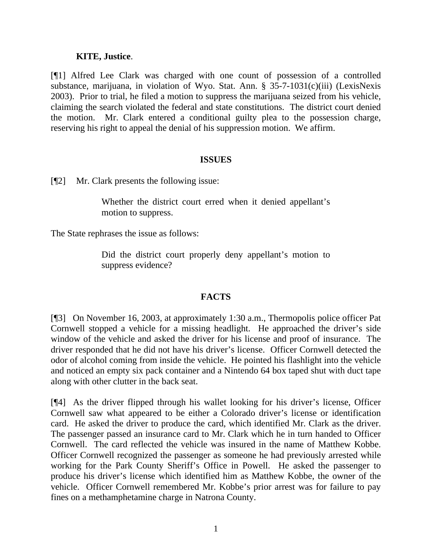### **KITE, Justice**.

[¶1] Alfred Lee Clark was charged with one count of possession of a controlled substance, marijuana, in violation of Wyo. Stat. Ann. § 35-7-1031(c)(iii) (LexisNexis 2003). Prior to trial, he filed a motion to suppress the marijuana seized from his vehicle, claiming the search violated the federal and state constitutions. The district court denied the motion. Mr. Clark entered a conditional guilty plea to the possession charge, reserving his right to appeal the denial of his suppression motion. We affirm.

# **ISSUES**

[¶2] Mr. Clark presents the following issue:

Whether the district court erred when it denied appellant's motion to suppress.

The State rephrases the issue as follows:

Did the district court properly deny appellant's motion to suppress evidence?

# **FACTS**

[¶3] On November 16, 2003, at approximately 1:30 a.m., Thermopolis police officer Pat Cornwell stopped a vehicle for a missing headlight. He approached the driver's side window of the vehicle and asked the driver for his license and proof of insurance. The driver responded that he did not have his driver's license. Officer Cornwell detected the odor of alcohol coming from inside the vehicle. He pointed his flashlight into the vehicle and noticed an empty six pack container and a Nintendo 64 box taped shut with duct tape along with other clutter in the back seat.

[¶4] As the driver flipped through his wallet looking for his driver's license, Officer Cornwell saw what appeared to be either a Colorado driver's license or identification card. He asked the driver to produce the card, which identified Mr. Clark as the driver. The passenger passed an insurance card to Mr. Clark which he in turn handed to Officer Cornwell. The card reflected the vehicle was insured in the name of Matthew Kobbe. Officer Cornwell recognized the passenger as someone he had previously arrested while working for the Park County Sheriff's Office in Powell. He asked the passenger to produce his driver's license which identified him as Matthew Kobbe, the owner of the vehicle. Officer Cornwell remembered Mr. Kobbe's prior arrest was for failure to pay fines on a methamphetamine charge in Natrona County.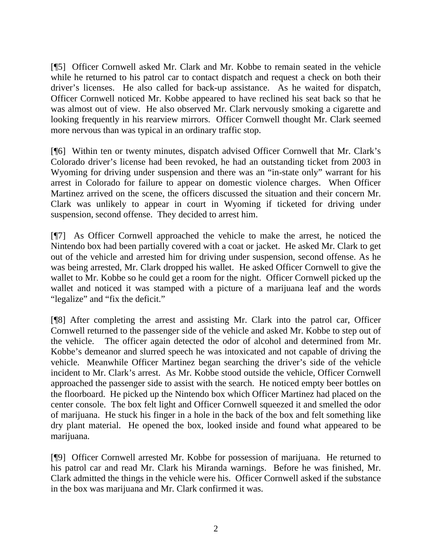[¶5] Officer Cornwell asked Mr. Clark and Mr. Kobbe to remain seated in the vehicle while he returned to his patrol car to contact dispatch and request a check on both their driver's licenses. He also called for back-up assistance. As he waited for dispatch, Officer Cornwell noticed Mr. Kobbe appeared to have reclined his seat back so that he was almost out of view. He also observed Mr. Clark nervously smoking a cigarette and looking frequently in his rearview mirrors. Officer Cornwell thought Mr. Clark seemed more nervous than was typical in an ordinary traffic stop.

[¶6] Within ten or twenty minutes, dispatch advised Officer Cornwell that Mr. Clark's Colorado driver's license had been revoked, he had an outstanding ticket from 2003 in Wyoming for driving under suspension and there was an "in-state only" warrant for his arrest in Colorado for failure to appear on domestic violence charges. When Officer Martinez arrived on the scene, the officers discussed the situation and their concern Mr. Clark was unlikely to appear in court in Wyoming if ticketed for driving under suspension, second offense. They decided to arrest him.

[¶7] As Officer Cornwell approached the vehicle to make the arrest, he noticed the Nintendo box had been partially covered with a coat or jacket. He asked Mr. Clark to get out of the vehicle and arrested him for driving under suspension, second offense. As he was being arrested, Mr. Clark dropped his wallet. He asked Officer Cornwell to give the wallet to Mr. Kobbe so he could get a room for the night. Officer Cornwell picked up the wallet and noticed it was stamped with a picture of a marijuana leaf and the words "legalize" and "fix the deficit."

[¶8] After completing the arrest and assisting Mr. Clark into the patrol car, Officer Cornwell returned to the passenger side of the vehicle and asked Mr. Kobbe to step out of the vehicle. The officer again detected the odor of alcohol and determined from Mr. Kobbe's demeanor and slurred speech he was intoxicated and not capable of driving the vehicle. Meanwhile Officer Martinez began searching the driver's side of the vehicle incident to Mr. Clark's arrest. As Mr. Kobbe stood outside the vehicle, Officer Cornwell approached the passenger side to assist with the search. He noticed empty beer bottles on the floorboard. He picked up the Nintendo box which Officer Martinez had placed on the center console. The box felt light and Officer Cornwell squeezed it and smelled the odor of marijuana. He stuck his finger in a hole in the back of the box and felt something like dry plant material. He opened the box, looked inside and found what appeared to be marijuana.

[¶9] Officer Cornwell arrested Mr. Kobbe for possession of marijuana. He returned to his patrol car and read Mr. Clark his Miranda warnings. Before he was finished, Mr. Clark admitted the things in the vehicle were his. Officer Cornwell asked if the substance in the box was marijuana and Mr. Clark confirmed it was.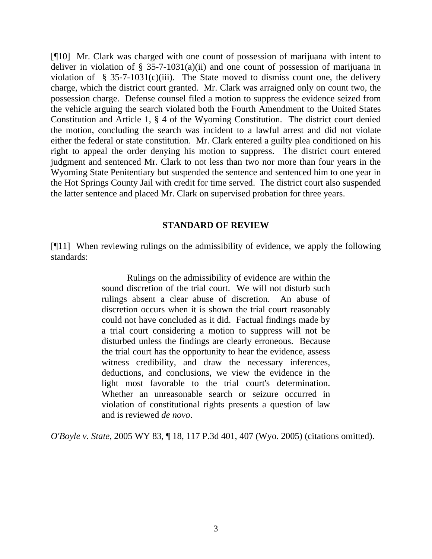[¶10] Mr. Clark was charged with one count of possession of marijuana with intent to deliver in violation of  $\S$  35-7-1031(a)(ii) and one count of possession of marijuana in violation of § 35-7-1031(c)(iii). The State moved to dismiss count one, the delivery charge, which the district court granted. Mr. Clark was arraigned only on count two, the possession charge. Defense counsel filed a motion to suppress the evidence seized from the vehicle arguing the search violated both the Fourth Amendment to the United States Constitution and Article 1, § 4 of the Wyoming Constitution. The district court denied the motion, concluding the search was incident to a lawful arrest and did not violate either the federal or state constitution. Mr. Clark entered a guilty plea conditioned on his right to appeal the order denying his motion to suppress. The district court entered judgment and sentenced Mr. Clark to not less than two nor more than four years in the Wyoming State Penitentiary but suspended the sentence and sentenced him to one year in the Hot Springs County Jail with credit for time served. The district court also suspended the latter sentence and placed Mr. Clark on supervised probation for three years.

#### **STANDARD OF REVIEW**

[¶11] When reviewing rulings on the admissibility of evidence, we apply the following standards:

> Rulings on the admissibility of evidence are within the sound discretion of the trial court. We will not disturb such rulings absent a clear abuse of discretion. An abuse of discretion occurs when it is shown the trial court reasonably could not have concluded as it did. Factual findings made by a trial court considering a motion to suppress will not be disturbed unless the findings are clearly erroneous. Because the trial court has the opportunity to hear the evidence, assess witness credibility, and draw the necessary inferences, deductions, and conclusions, we view the evidence in the light most favorable to the trial court's determination. Whether an unreasonable search or seizure occurred in violation of constitutional rights presents a question of law and is reviewed *de novo*.

*O'Boyle v. State*, 2005 WY 83, ¶ 18, 117 P.3d 401, 407 (Wyo. 2005) (citations omitted).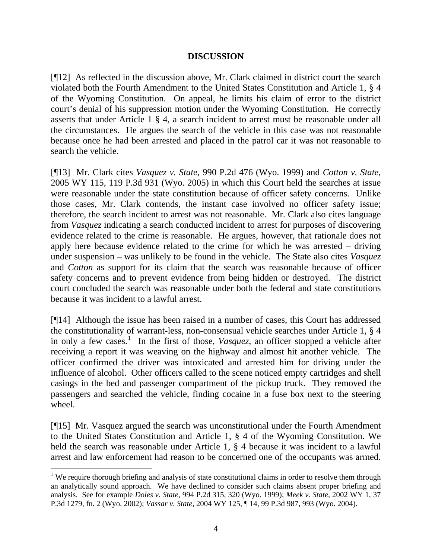## **DISCUSSION**

[¶12] As reflected in the discussion above, Mr. Clark claimed in district court the search violated both the Fourth Amendment to the United States Constitution and Article 1, § 4 of the Wyoming Constitution. On appeal, he limits his claim of error to the district court's denial of his suppression motion under the Wyoming Constitution. He correctly asserts that under Article 1 § 4, a search incident to arrest must be reasonable under all the circumstances. He argues the search of the vehicle in this case was not reasonable because once he had been arrested and placed in the patrol car it was not reasonable to search the vehicle.

[¶13] Mr. Clark cites *Vasquez v. State*, 990 P.2d 476 (Wyo. 1999) and *Cotton v. State*, 2005 WY 115, 119 P.3d 931 (Wyo. 2005) in which this Court held the searches at issue were reasonable under the state constitution because of officer safety concerns. Unlike those cases, Mr. Clark contends, the instant case involved no officer safety issue; therefore, the search incident to arrest was not reasonable. Mr. Clark also cites language from *Vasquez* indicating a search conducted incident to arrest for purposes of discovering evidence related to the crime is reasonable. He argues, however, that rationale does not apply here because evidence related to the crime for which he was arrested – driving under suspension – was unlikely to be found in the vehicle. The State also cites *Vasquez* and *Cotton* as support for its claim that the search was reasonable because of officer safety concerns and to prevent evidence from being hidden or destroyed. The district court concluded the search was reasonable under both the federal and state constitutions because it was incident to a lawful arrest.

[¶14] Although the issue has been raised in a number of cases, this Court has addressed the constitutionality of warrant-less, non-consensual vehicle searches under Article 1, § 4 in only a few cases.<sup>[1](#page-5-0)</sup> In the first of those, *Vasquez*, an officer stopped a vehicle after receiving a report it was weaving on the highway and almost hit another vehicle. The officer confirmed the driver was intoxicated and arrested him for driving under the influence of alcohol. Other officers called to the scene noticed empty cartridges and shell casings in the bed and passenger compartment of the pickup truck. They removed the passengers and searched the vehicle, finding cocaine in a fuse box next to the steering wheel.

[¶15] Mr. Vasquez argued the search was unconstitutional under the Fourth Amendment to the United States Constitution and Article 1, § 4 of the Wyoming Constitution. We held the search was reasonable under Article 1,  $\S$  4 because it was incident to a lawful arrest and law enforcement had reason to be concerned one of the occupants was armed.

l

<span id="page-5-0"></span><sup>&</sup>lt;sup>1</sup> We require thorough briefing and analysis of state constitutional claims in order to resolve them through an analytically sound approach. We have declined to consider such claims absent proper briefing and analysis. See for example *Doles v. State*, 994 P.2d 315, 320 (Wyo. 1999); *Meek v. State*, 2002 WY 1, 37 P.3d 1279, fn. 2 (Wyo. 2002); *Vassar v. State*, 2004 WY 125, ¶ 14, 99 P.3d 987, 993 (Wyo. 2004).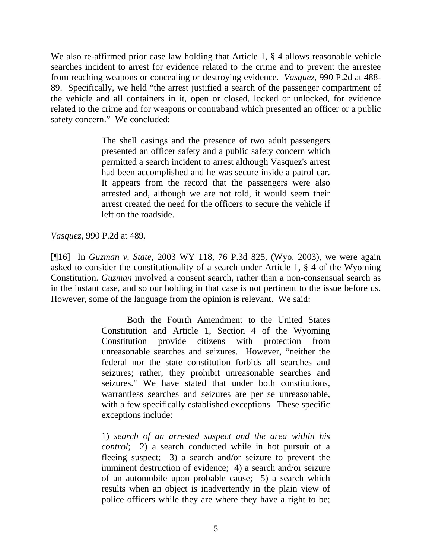We also re-affirmed prior case law holding that Article 1,  $\S$  4 allows reasonable vehicle searches incident to arrest for evidence related to the crime and to prevent the arrestee from reaching weapons or concealing or destroying evidence. *Vasquez*, 990 P.2d at 488- 89. Specifically, we held "the arrest justified a search of the passenger compartment of the vehicle and all containers in it, open or closed, locked or unlocked, for evidence related to the crime and for weapons or contraband which presented an officer or a public safety concern." We concluded:

> The shell casings and the presence of two adult passengers presented an officer safety and a public safety concern which permitted a search incident to arrest although Vasquez's arrest had been accomplished and he was secure inside a patrol car. It appears from the record that the passengers were also arrested and, although we are not told, it would seem their arrest created the need for the officers to secure the vehicle if left on the roadside.

*Vasquez*, 990 P.2d at 489.

[¶16] In *Guzman v. State*, 2003 WY 118, 76 P.3d 825, (Wyo. 2003), we were again asked to consider the constitutionality of a search under Article 1, § 4 of the Wyoming Constitution. *Guzman* involved a consent search, rather than a non-consensual search as in the instant case, and so our holding in that case is not pertinent to the issue before us. However, some of the language from the opinion is relevant. We said:

> Both the Fourth Amendment to the United States Constitution and Article 1, Section 4 of the Wyoming Constitution provide citizens with protection from unreasonable searches and seizures. However, "neither the federal nor the state constitution forbids all searches and seizures; rather, they prohibit unreasonable searches and seizures." We have stated that under both constitutions, warrantless searches and seizures are per se unreasonable, with a few specifically established exceptions. These specific exceptions include:

> 1) *search of an arrested suspect and the area within his control*; 2) a search conducted while in hot pursuit of a fleeing suspect; 3) a search and/or seizure to prevent the imminent destruction of evidence; 4) a search and/or seizure of an automobile upon probable cause; 5) a search which results when an object is inadvertently in the plain view of police officers while they are where they have a right to be;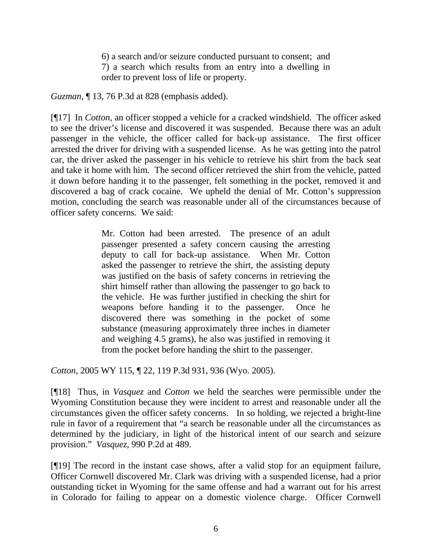6) a search and/or seizure conducted pursuant to consent; and 7) a search which results from an entry into a dwelling in order to prevent loss of life or property.

*Guzman,* ¶ 13, 76 P.3d at 828 (emphasis added).

[¶17] In *Cotton*, an officer stopped a vehicle for a cracked windshield. The officer asked to see the driver's license and discovered it was suspended. Because there was an adult passenger in the vehicle, the officer called for back-up assistance. The first officer arrested the driver for driving with a suspended license. As he was getting into the patrol car, the driver asked the passenger in his vehicle to retrieve his shirt from the back seat and take it home with him. The second officer retrieved the shirt from the vehicle, patted it down before handing it to the passenger, felt something in the pocket, removed it and discovered a bag of crack cocaine. We upheld the denial of Mr. Cotton's suppression motion, concluding the search was reasonable under all of the circumstances because of officer safety concerns. We said:

> Mr. Cotton had been arrested. The presence of an adult passenger presented a safety concern causing the arresting deputy to call for back-up assistance. When Mr. Cotton asked the passenger to retrieve the shirt, the assisting deputy was justified on the basis of safety concerns in retrieving the shirt himself rather than allowing the passenger to go back to the vehicle. He was further justified in checking the shirt for weapons before handing it to the passenger. Once he discovered there was something in the pocket of some substance (measuring approximately three inches in diameter and weighing 4.5 grams), he also was justified in removing it from the pocket before handing the shirt to the passenger.

*Cotton*, 2005 WY 115, ¶ 22, 119 P.3d 931, 936 (Wyo. 2005).

[¶18] Thus, in *Vasquez* and *Cotton* we held the searches were permissible under the Wyoming Constitution because they were incident to arrest and reasonable under all the circumstances given the officer safety concerns. In so holding, we rejected a bright-line rule in favor of a requirement that "a search be reasonable under all the circumstances as determined by the judiciary, in light of the historical intent of our search and seizure provision." *Vasquez*, 990 P.2d at 489.

[¶19] The record in the instant case shows, after a valid stop for an equipment failure, Officer Cornwell discovered Mr. Clark was driving with a suspended license, had a prior outstanding ticket in Wyoming for the same offense and had a warrant out for his arrest in Colorado for failing to appear on a domestic violence charge. Officer Cornwell